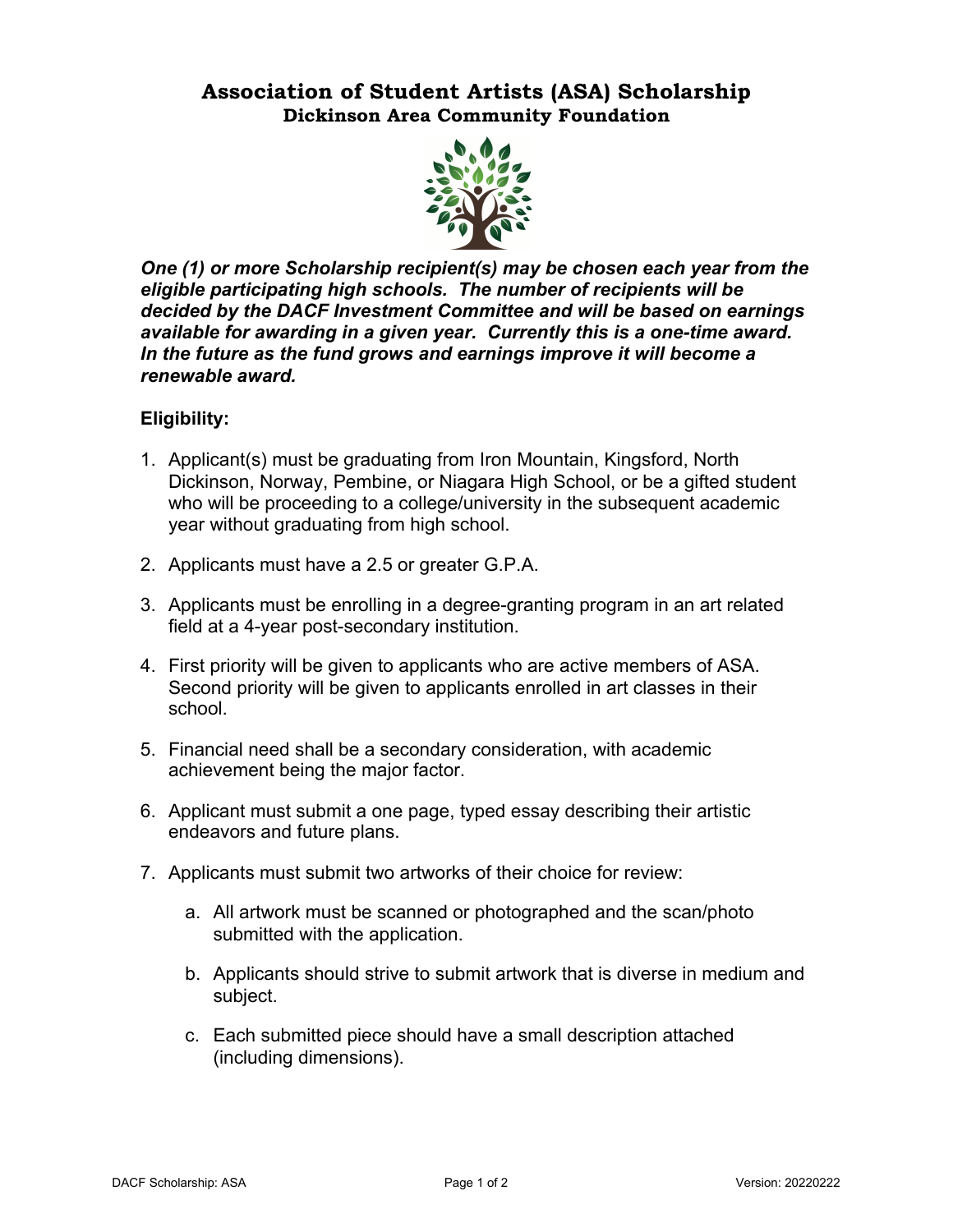## **Association of Student Artists (ASA) Scholarship Dickinson Area Community Foundation**



*One (1) or more Scholarship recipient(s) may be chosen each year from the eligible participating high schools. The number of recipients will be decided by the DACF Investment Committee and will be based on earnings available for awarding in a given year. Currently this is a one-time award. In the future as the fund grows and earnings improve it will become a renewable award.*

### **Eligibility:**

- 1. Applicant(s) must be graduating from Iron Mountain, Kingsford, North Dickinson, Norway, Pembine, or Niagara High School, or be a gifted student who will be proceeding to a college/university in the subsequent academic year without graduating from high school.
- 2. Applicants must have a 2.5 or greater G.P.A.
- 3. Applicants must be enrolling in a degree-granting program in an art related field at a 4-year post-secondary institution.
- 4. First priority will be given to applicants who are active members of ASA. Second priority will be given to applicants enrolled in art classes in their school.
- 5. Financial need shall be a secondary consideration, with academic achievement being the major factor.
- 6. Applicant must submit a one page, typed essay describing their artistic endeavors and future plans.
- 7. Applicants must submit two artworks of their choice for review:
	- a. All artwork must be scanned or photographed and the scan/photo submitted with the application.
	- b. Applicants should strive to submit artwork that is diverse in medium and subject.
	- c. Each submitted piece should have a small description attached (including dimensions).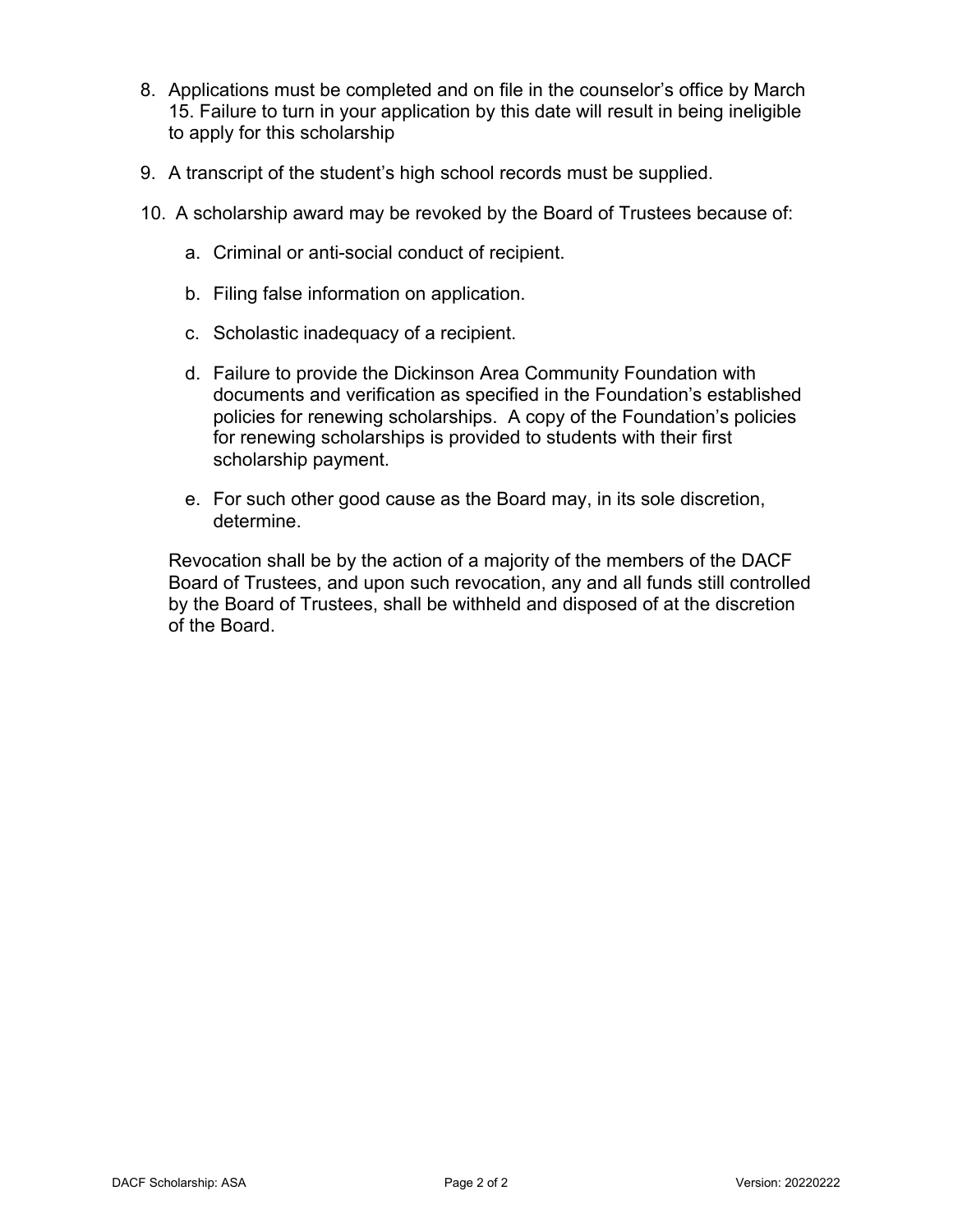- 8. Applications must be completed and on file in the counselor's office by March 15. Failure to turn in your application by this date will result in being ineligible to apply for this scholarship
- 9. A transcript of the student's high school records must be supplied.
- 10. A scholarship award may be revoked by the Board of Trustees because of:
	- a. Criminal or anti-social conduct of recipient.
	- b. Filing false information on application.
	- c. Scholastic inadequacy of a recipient.
	- d. Failure to provide the Dickinson Area Community Foundation with documents and verification as specified in the Foundation's established policies for renewing scholarships. A copy of the Foundation's policies for renewing scholarships is provided to students with their first scholarship payment.
	- e. For such other good cause as the Board may, in its sole discretion, determine.

Revocation shall be by the action of a majority of the members of the DACF Board of Trustees, and upon such revocation, any and all funds still controlled by the Board of Trustees, shall be withheld and disposed of at the discretion of the Board.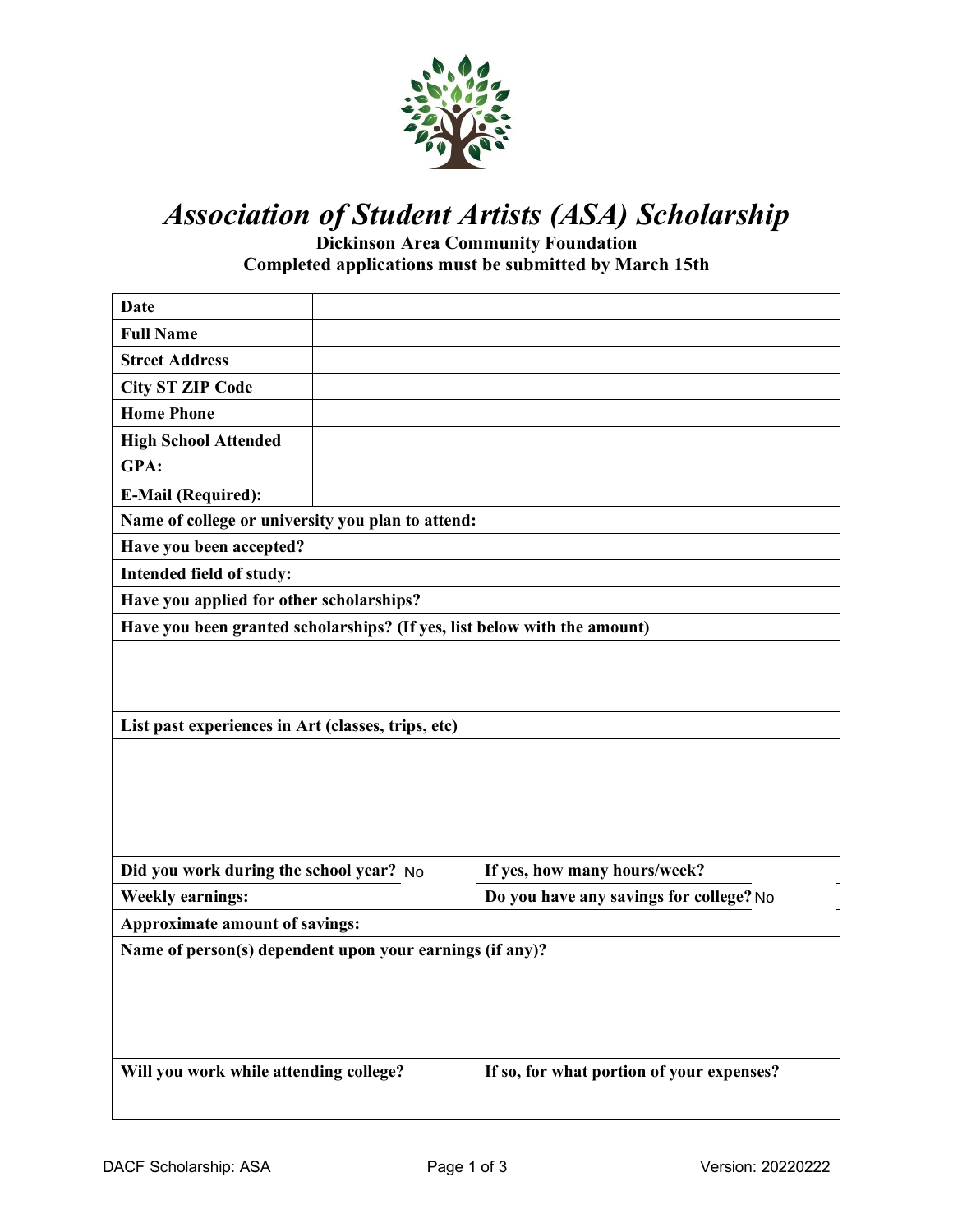

# *Association of Student Artists (ASA) Scholarship*

**Dickinson Area Community Foundation Completed applications must be submitted by March 15th** 

| <b>Date</b>                                                              |  |                                           |  |  |
|--------------------------------------------------------------------------|--|-------------------------------------------|--|--|
| <b>Full Name</b>                                                         |  |                                           |  |  |
| <b>Street Address</b>                                                    |  |                                           |  |  |
| <b>City ST ZIP Code</b>                                                  |  |                                           |  |  |
| <b>Home Phone</b>                                                        |  |                                           |  |  |
| <b>High School Attended</b>                                              |  |                                           |  |  |
| GPA:                                                                     |  |                                           |  |  |
| <b>E-Mail (Required):</b>                                                |  |                                           |  |  |
| Name of college or university you plan to attend:                        |  |                                           |  |  |
| Have you been accepted?                                                  |  |                                           |  |  |
| Intended field of study:                                                 |  |                                           |  |  |
| Have you applied for other scholarships?                                 |  |                                           |  |  |
| Have you been granted scholarships? (If yes, list below with the amount) |  |                                           |  |  |
|                                                                          |  |                                           |  |  |
|                                                                          |  |                                           |  |  |
|                                                                          |  |                                           |  |  |
| List past experiences in Art (classes, trips, etc)                       |  |                                           |  |  |
|                                                                          |  |                                           |  |  |
|                                                                          |  |                                           |  |  |
|                                                                          |  |                                           |  |  |
|                                                                          |  |                                           |  |  |
| Did you work during the school year? No                                  |  | If yes, how many hours/week?              |  |  |
| <b>Weekly earnings:</b>                                                  |  | Do you have any savings for college? No   |  |  |
| Approximate amount of savings:                                           |  |                                           |  |  |
| Name of person(s) dependent upon your earnings (if any)?                 |  |                                           |  |  |
|                                                                          |  |                                           |  |  |
|                                                                          |  |                                           |  |  |
|                                                                          |  |                                           |  |  |
|                                                                          |  |                                           |  |  |
| Will you work while attending college?                                   |  | If so, for what portion of your expenses? |  |  |
|                                                                          |  |                                           |  |  |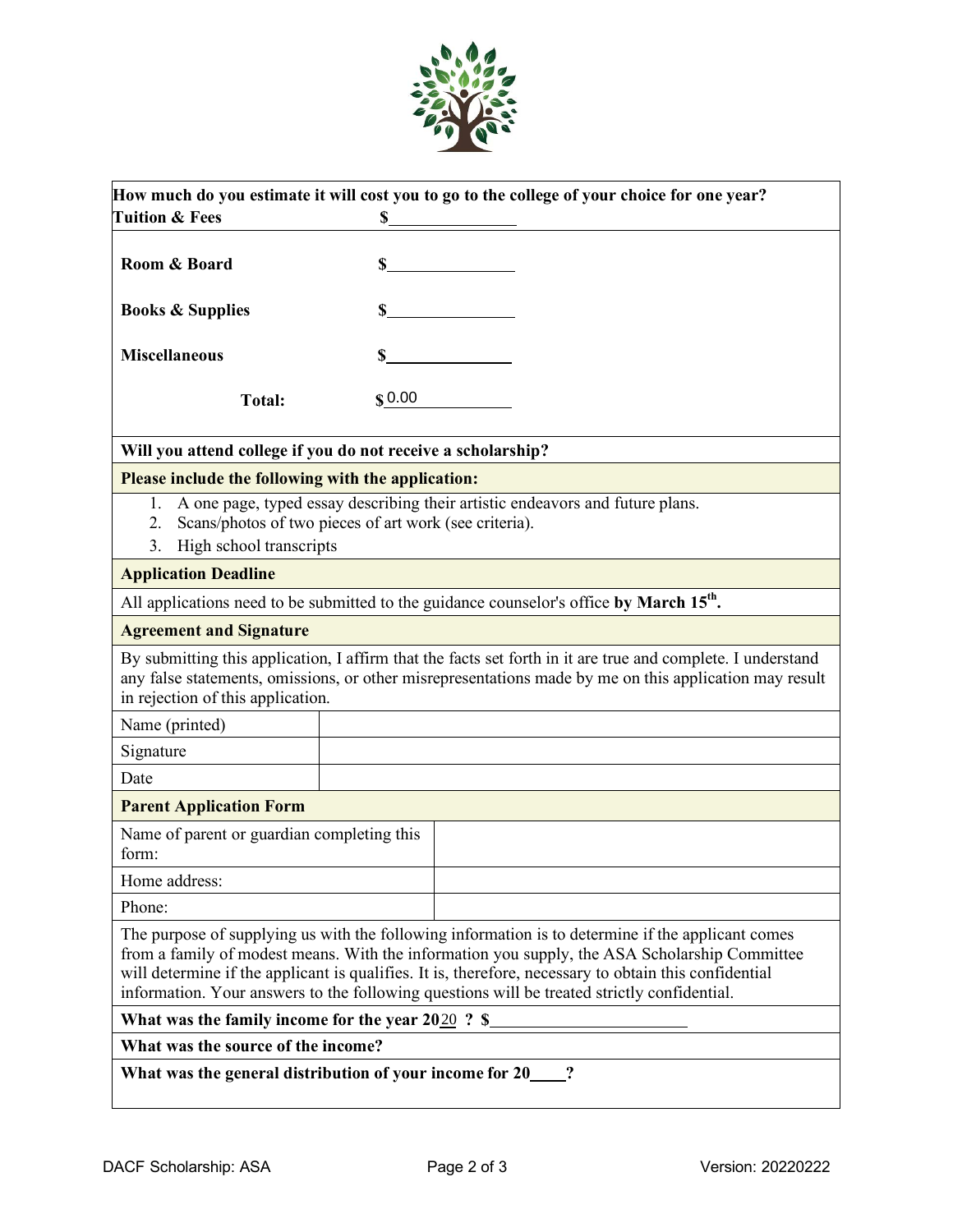

| <b>Tuition &amp; Fees</b>                                                                                         | \$     | How much do you estimate it will cost you to go to the college of your choice for one year?                                                                                                                                                                                                                                                                                                                |
|-------------------------------------------------------------------------------------------------------------------|--------|------------------------------------------------------------------------------------------------------------------------------------------------------------------------------------------------------------------------------------------------------------------------------------------------------------------------------------------------------------------------------------------------------------|
|                                                                                                                   |        |                                                                                                                                                                                                                                                                                                                                                                                                            |
| Room & Board                                                                                                      |        | $\mathbf S$                                                                                                                                                                                                                                                                                                                                                                                                |
| <b>Books &amp; Supplies</b>                                                                                       |        | $\sim$ $\sim$                                                                                                                                                                                                                                                                                                                                                                                              |
| <b>Miscellaneous</b>                                                                                              |        | $\mathbf S$                                                                                                                                                                                                                                                                                                                                                                                                |
| Total:                                                                                                            | \$0.00 |                                                                                                                                                                                                                                                                                                                                                                                                            |
| Will you attend college if you do not receive a scholarship?                                                      |        |                                                                                                                                                                                                                                                                                                                                                                                                            |
| Please include the following with the application:                                                                |        |                                                                                                                                                                                                                                                                                                                                                                                                            |
| 1.<br>Scans/photos of two pieces of art work (see criteria).<br>$\overline{2}$ .<br>High school transcripts<br>3. |        | A one page, typed essay describing their artistic endeavors and future plans.                                                                                                                                                                                                                                                                                                                              |
| <b>Application Deadline</b>                                                                                       |        |                                                                                                                                                                                                                                                                                                                                                                                                            |
|                                                                                                                   |        | All applications need to be submitted to the guidance counselor's office by March 15 <sup>th</sup> .                                                                                                                                                                                                                                                                                                       |
| <b>Agreement and Signature</b>                                                                                    |        |                                                                                                                                                                                                                                                                                                                                                                                                            |
| in rejection of this application.                                                                                 |        | By submitting this application, I affirm that the facts set forth in it are true and complete. I understand<br>any false statements, omissions, or other misrepresentations made by me on this application may result                                                                                                                                                                                      |
| Name (printed)                                                                                                    |        |                                                                                                                                                                                                                                                                                                                                                                                                            |
| Signature                                                                                                         |        |                                                                                                                                                                                                                                                                                                                                                                                                            |
| Date                                                                                                              |        |                                                                                                                                                                                                                                                                                                                                                                                                            |
| <b>Parent Application Form</b>                                                                                    |        |                                                                                                                                                                                                                                                                                                                                                                                                            |
| Name of parent or guardian completing this<br>form:                                                               |        |                                                                                                                                                                                                                                                                                                                                                                                                            |
| Home address:                                                                                                     |        |                                                                                                                                                                                                                                                                                                                                                                                                            |
| Phone:                                                                                                            |        |                                                                                                                                                                                                                                                                                                                                                                                                            |
|                                                                                                                   |        | The purpose of supplying us with the following information is to determine if the applicant comes<br>from a family of modest means. With the information you supply, the ASA Scholarship Committee<br>will determine if the applicant is qualifies. It is, therefore, necessary to obtain this confidential<br>information. Your answers to the following questions will be treated strictly confidential. |
|                                                                                                                   |        | What was the family income for the year 2020? \$                                                                                                                                                                                                                                                                                                                                                           |
| What was the source of the income?                                                                                |        |                                                                                                                                                                                                                                                                                                                                                                                                            |
| What was the general distribution of your income for 20 ?                                                         |        |                                                                                                                                                                                                                                                                                                                                                                                                            |